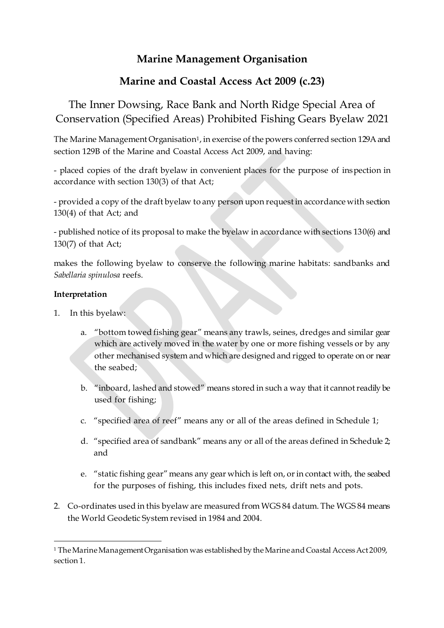### **Marine Management Organisation**

## **Marine and Coastal Access Act 2009 (c.23)**

# The Inner Dowsing, Race Bank and North Ridge Special Area of Conservation (Specified Areas) Prohibited Fishing Gears Byelaw 2021

The Marine Management Organisation<sup>1</sup>, in exercise of the powers conferred section 129A and section 129B of the Marine and Coastal Access Act 2009, and having:

- placed copies of the draft byelaw in convenient places for the purpose of inspection in accordance with section 130(3) of that Act;

- provided a copy of the draft byelaw to any person upon request in accordance with section 130(4) of that Act; and

- published notice of its proposal to make the byelaw in accordance with sections 130(6) and 130(7) of that Act;

makes the following byelaw to conserve the following marine habitats: sandbanks and *Sabellaria spinulosa* reefs.

#### **Interpretation**

- 1. In this byelaw:
	- a. "bottom towed fishing gear" means any trawls, seines, dredges and similar gear which are actively moved in the water by one or more fishing vessels or by any other mechanised system and which are designed and rigged to operate on or near the seabed;
	- b. "inboard, lashed and stowed" means stored in such a way that it cannot readily be used for fishing;
	- c. "specified area of reef" means any or all of the areas defined in Schedule 1;
	- d. "specified area of sandbank" means any or all of the areas defined in Schedule 2; and
	- e. "static fishing gear" means any gear which is left on, or in contact with, the seabed for the purposes of fishing, this includes fixed nets, drift nets and pots.
- 2. Co-ordinates used in this byelaw are measured from WGS 84 datum. The WGS 84 means the World Geodetic System revised in 1984 and 2004.

 $\overline{a}$ <sup>1</sup> The Marine Management Organisation was established by the Marine and Coastal Access Act 2009, section 1.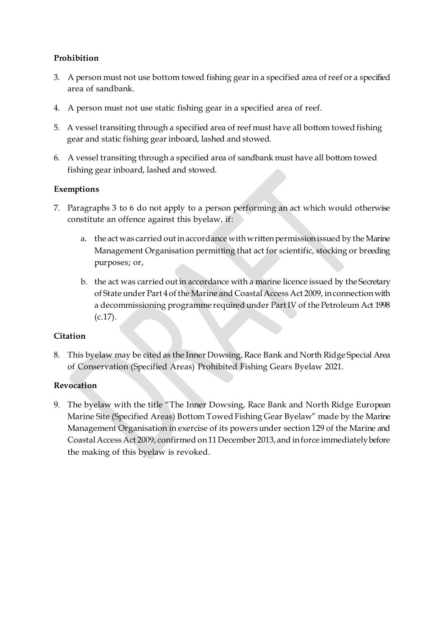### **Prohibition**

- 3. A person must not use bottom towed fishing gear in a specified area of reef or a specified area of sandbank.
- 4. A person must not use static fishing gear in a specified area of reef.
- 5. A vessel transiting through a specified area of reef must have all bottom towed fishing gear and static fishing gear inboard, lashed and stowed.
- 6. A vessel transiting through a specified area of sandbank must have all bottom towed fishing gear inboard, lashed and stowed.

#### **Exemptions**

- 7. Paragraphs 3 to 6 do not apply to a person performing an act which would otherwise constitute an offence against this byelaw, if:
	- a. the act was carried out in accordance with written permission issued by the Marine Management Organisation permitting that act for scientific, stocking or breeding purposes; or,
	- b. the act was carried out in accordance with a marine licence issued by the Secretary of State under Part 4 of the Marine and Coastal Access Act 2009, in connection with a decommissioning programme required under Part IV of the Petroleum Act 1998 (c.17).

### **Citation**

8. This byelaw may be cited as the Inner Dowsing, Race Bank and North Ridge Special Area of Conservation (Specified Areas) Prohibited Fishing Gears Byelaw 2021.

#### **Revocation**

9. The byelaw with the title "The Inner Dowsing, Race Bank and North Ridge European Marine Site (Specified Areas) Bottom Towed Fishing Gear Byelaw" made by the Marine Management Organisation in exercise of its powers under section 129 of the Marine and Coastal Access Act 2009, confirmed on 11 December 2013, and in force immediately before the making of this byelaw is revoked.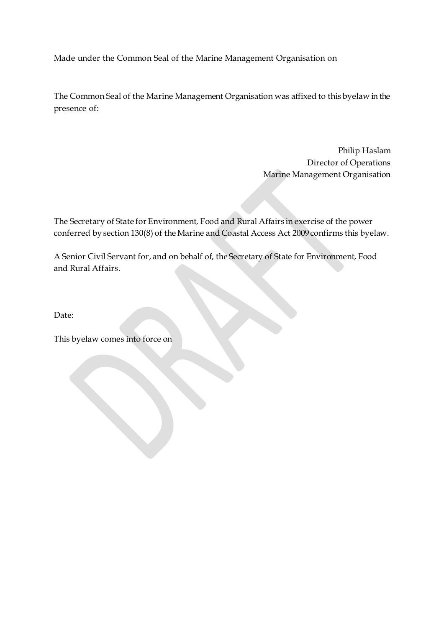Made under the Common Seal of the Marine Management Organisation on

The Common Seal of the Marine Management Organisation was affixed to this byelaw in the presence of:

> Philip Haslam Director of Operations Marine Management Organisation

The Secretary of State for Environment, Food and Rural Affairs in exercise of the power conferred by section 130(8) of the Marine and Coastal Access Act 2009 confirms this byelaw.

A Senior Civil Servant for, and on behalf of, the Secretary of State for Environment, Food and Rural Affairs.

Date:

This byelaw comes into force on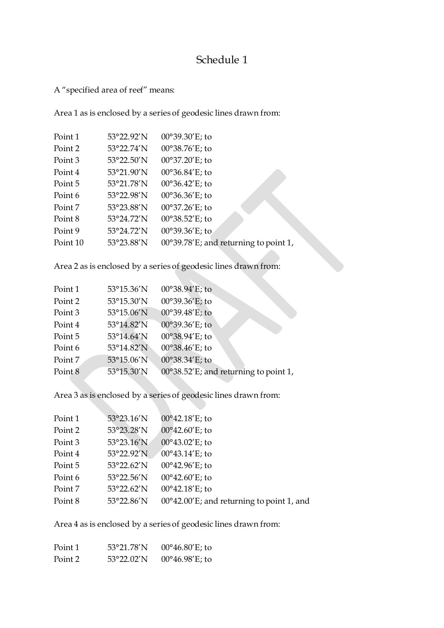## Schedule 1

A "specified area of reef" means:

Area 1 as is enclosed by a series of geodesic lines drawn from:

| Point 1  | 53°22.92'N | 00°39.30'E; to                        |
|----------|------------|---------------------------------------|
| Point 2  | 53°22.74'N | 00°38.76'E; to                        |
| Point 3  | 53°22.50'N | 00°37.20'E; to                        |
| Point 4  | 53°21.90'N | 00°36.84'E; to                        |
| Point 5  | 53°21.78'N | $00^{\circ}36.42'E$ ; to              |
| Point 6  | 53°22.98'N | $00^{\circ}36.36'E$ ; to              |
| Point 7  | 53°23.88'N | 00°37.26'E; to                        |
| Point 8  | 53°24.72'N | 00°38.52'E; to                        |
| Point 9  | 53°24.72'N | 00°39.36'E; to                        |
| Point 10 | 53°23.88'N | 00°39.78'E; and returning to point 1, |
|          |            |                                       |

Area 2 as is enclosed by a series of geodesic lines drawn from:

| Point 1 | 53°15.36'N | $00^{\circ}38.94'E$ ; to              |
|---------|------------|---------------------------------------|
| Point 2 | 53°15.30'N | 00°39.36'E; to                        |
| Point 3 | 53°15.06'N | 00°39.48'E; to                        |
| Point 4 | 53°14.82'N | 00°39.36'E; to                        |
| Point 5 | 53°14.64'N | 00°38.94'E; to                        |
| Point 6 | 53°14.82'N | $00^{\circ}38.46'E$ ; to              |
| Point 7 | 53°15.06'N | 00°38.34'E; to                        |
| Point 8 | 53°15.30'N | 00°38.52'E; and returning to point 1, |

Area 3 as is enclosed by a series of geodesic lines drawn from:

| Point 1 | 53°23.16'N          | 00°42.18'E; to                            |
|---------|---------------------|-------------------------------------------|
| Point 2 | $53^{\circ}23.28'N$ | $00^{\circ}42.60'E$ ; to                  |
| Point 3 | 53°23.16'N          | $00^{\circ}43.02'$ E; to                  |
| Point 4 | 53°22.92'N          | $00^{\circ}43.14'E$ ; to                  |
| Point 5 | 53°22.62'N          | 00°42.96'E; to                            |
| Point 6 | 53°22.56'N          | $00^{\circ}42.60'E$ ; to                  |
| Point 7 | 53°22.62'N          | $00^{\circ}42.18'E$ ; to                  |
| Point 8 | 53°22.86'N          | 00°42.00'E; and returning to point 1, and |

Area 4 as is enclosed by a series of geodesic lines drawn from:

| Point 1 | 53°21.78′N | $00^{\circ}46.80'E$ ; to |
|---------|------------|--------------------------|
| Point 2 | 53°22.02′N | $00^{\circ}46.98'E$ ; to |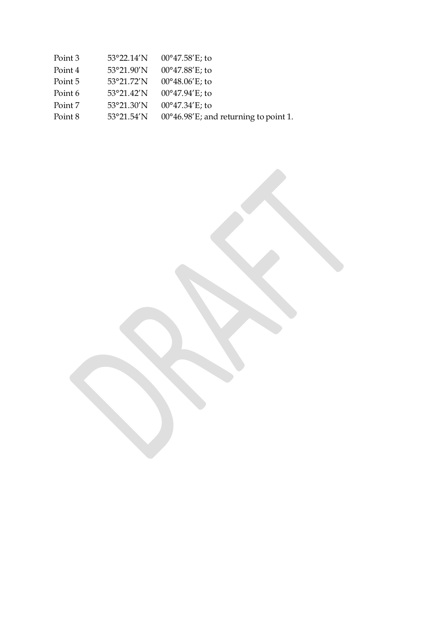| Point 3 |                      | 53°22.14'N 00°47.58'E; to                       |
|---------|----------------------|-------------------------------------------------|
| Point 4 | 53°21.90'N           | $00^{\circ}47.88'$ E; to                        |
| Point 5 | 53°21.72'N           | $00^{\circ}48.06'E$ ; to                        |
| Point 6 | $53^{\circ}21.42'$ N | $00^{\circ}47.94'E$ ; to                        |
| Point 7 | 53°21.30'N           | $00^{\circ}47.34'E$ ; to                        |
| Point 8 | $53^{\circ}21.54'$ N | $00^{\circ}46.98$ 'E; and returning to point 1. |
|         |                      |                                                 |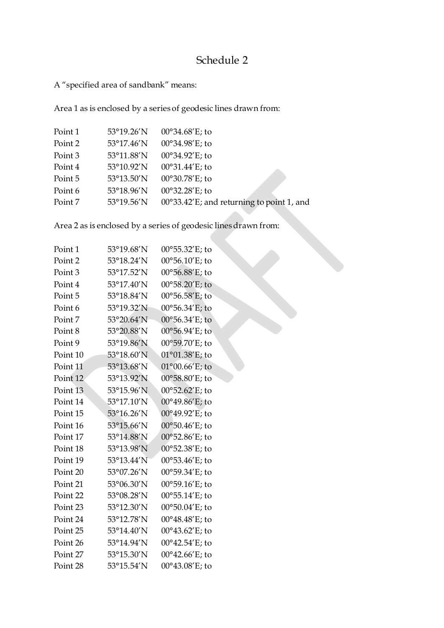# Schedule 2

A "specified area of sandbank" means:

Area 1 as is enclosed by a series of geodesic lines drawn from:

| 53°19.26'N | $00^{\circ}34.68'E$ ; to                  |
|------------|-------------------------------------------|
| 53°17.46'N | 00°34.98'E; to                            |
| 53°11.88'N | 00°34.92'E; to                            |
| 53°10.92'N | $00^{\circ}31.44'E$ ; to                  |
| 53°13.50'N | 00°30.78'E; to                            |
| 53°18.96'N | 00°32.28'E; to                            |
| 53°19.56'N | 00°33.42'E; and returning to point 1, and |
|            |                                           |

Area 2 as is enclosed by a series of geodesic lines drawn from:

| Point 1  | 53°19.68'N | $00^{\circ}55.32'E$ ; to |
|----------|------------|--------------------------|
| Point 2  | 53°18.24'N | 00°56.10'E; to           |
| Point 3  | 53°17.52'N | $00^{\circ}56.88'E$ ; to |
| Point 4  | 53°17.40'N | $00^{\circ}58.20'E$ ; to |
| Point 5  | 53°18.84'N | $00^{\circ}56.58'E$ ; to |
| Point 6  | 53°19.32'N | $00^{\circ}56.34'E$ ; to |
| Point 7  | 53°20.64'N | 00°56.34'E; to           |
| Point 8  | 53°20.88'N | 00°56.94′E; to           |
| Point 9  | 53°19.86'N | 00°59.70'E; to           |
| Point 10 | 53°18.60'N | $01^{\circ}01.38'E$ ; to |
| Point 11 | 53°13.68'N | $01^{\circ}00.66$ 'E; to |
| Point 12 | 53°13.92'N | 00°58.80'E; to           |
| Point 13 | 53°15.96'N | $00^{\circ}52.62'E$ ; to |
| Point 14 | 53°17.10'N | $00^{\circ}49.86'E$ ; to |
| Point 15 | 53°16.26'N | 00°49.92'E; to           |
| Point 16 | 53°15.66'N | $00^{\circ}50.46'E$ ; to |
| Point 17 | 53°14.88'N | $00^{\circ}52.86'E$ ; to |
| Point 18 | 53°13.98'N | 00°52.38'E; to           |
| Point 19 | 53°13.44'N | $00^{\circ}53.46'E$ ; to |
| Point 20 | 53°07.26'N | 00°59.34'E; to           |
| Point 21 | 53°06.30'N | 00°59.16'E; to           |
| Point 22 | 53°08.28'N | $00^{\circ}55.14'E$ ; to |
| Point 23 | 53°12.30'N | 00°50.04'E; to           |
| Point 24 | 53°12.78'N | 00°48.48'E; to           |
| Point 25 | 53°14.40'N | $00^{\circ}43.62'$ E; to |
| Point 26 | 53°14.94'N | $00^{\circ}42.54'E$ ; to |
| Point 27 | 53°15.30'N | $00^{\circ}42.66'E$ ; to |
| Point 28 | 53°15.54'N | 00°43.08'E; to           |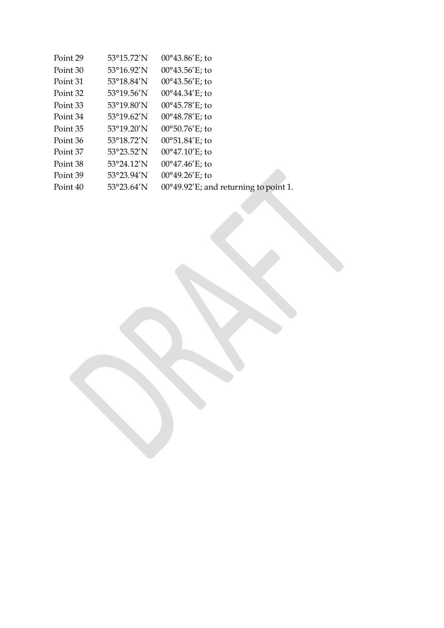| Point 29 | 53°15.72'N           | $00^{\circ}43.86'E$ ; to              |
|----------|----------------------|---------------------------------------|
| Point 30 | 53°16.92'N           | $00^{\circ}43.56'E$ ; to              |
| Point 31 | 53°18.84'N           | $00^{\circ}43.56'E$ ; to              |
| Point 32 | $53^{\circ}19.56'$ N | $00^{\circ}44.34'E$ ; to              |
| Point 33 | 53°19.80'N           | $00^{\circ}45.78'$ E; to              |
| Point 34 | $53^{\circ}19.62'$ N | $00^{\circ}48.78'$ E; to              |
| Point 35 | $53^{\circ}19.20'$ N | $00^{\circ}50.76$ 'E; to              |
| Point 36 | 53°18.72'N           | 00°51.84'E; to                        |
| Point 37 | 53°23.52'N           | $00^{\circ}47.10'E$ ; to              |
| Point 38 | $53^{\circ}24.12'$ N | $00^{\circ}47.46'E$ ; to              |
| Point 39 | 53°23.94'N           | $00^{\circ}49.26'$ E; to              |
| Point 40 | $53^{\circ}23.64'$ N | 00°49.92'E; and returning to point 1. |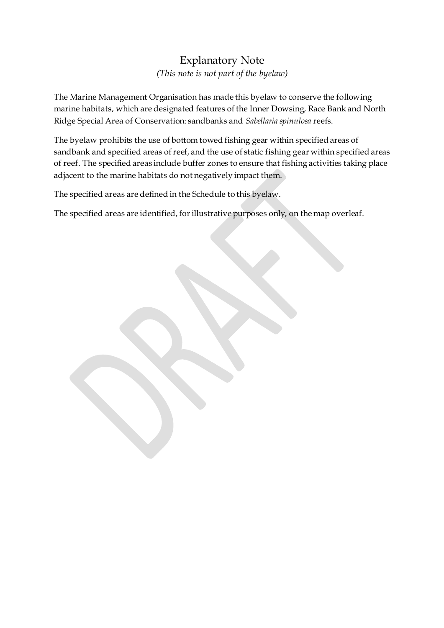## Explanatory Note *(This note is not part of the byelaw)*

The Marine Management Organisation has made this byelaw to conserve the following marine habitats, which are designated features of the Inner Dowsing, Race Bank and North Ridge Special Area of Conservation: sandbanks and *Sabellaria spinulosa* reefs.

The byelaw prohibits the use of bottom towed fishing gear within specified areas of sandbank and specified areas of reef, and the use of static fishing gear within specified areas of reef. The specified areas include buffer zones to ensure that fishing activities taking place adjacent to the marine habitats do not negatively impact them.

The specified areas are defined in the Schedule to this byelaw.

The specified areas are identified, for illustrative purposes only, on the map overleaf.